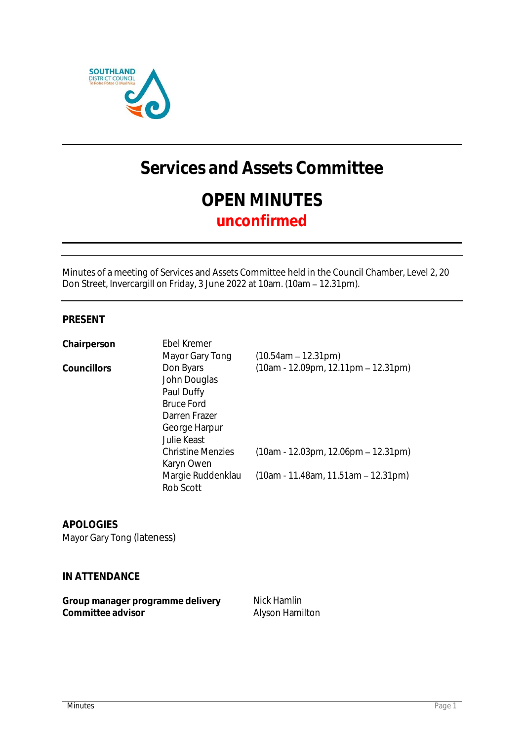

# **Services and Assets Committee OPEN MINUTES unconfirmed**

Minutes of a meeting of Services and Assets Committee held in the Council Chamber, Level 2, 20 Don Street, Invercargill on Friday, 3 June 2022 at 10am. (10am - 12.31pm).

### **PRESENT**

| Chairperson | Ebel Kremer                                                                                                          |                                       |
|-------------|----------------------------------------------------------------------------------------------------------------------|---------------------------------------|
|             | Mayor Gary Tong                                                                                                      | $(10.54am - 12.31pm)$                 |
| Councillors | Don Byars<br>John Douglas<br>Paul Duffy<br><b>Bruce Ford</b><br>Darren Frazer<br>George Harpur<br><b>Julie Keast</b> | $(10am - 12.09pm, 12.11pm - 12.31pm)$ |
|             | <b>Christine Menzies</b><br>Karyn Owen                                                                               | $(10am - 12.03pm, 12.06pm - 12.31pm)$ |
|             | Margie Ruddenklau<br>Rob Scott                                                                                       | $(10am - 11.48am, 11.51am - 12.31pm)$ |

**APOLOGIES** Mayor Gary Tong (lateness)

**IN ATTENDANCE**

| Group manager programme delivery | Nick Hamlin     |
|----------------------------------|-----------------|
| Committee advisor                | Alyson Hamilton |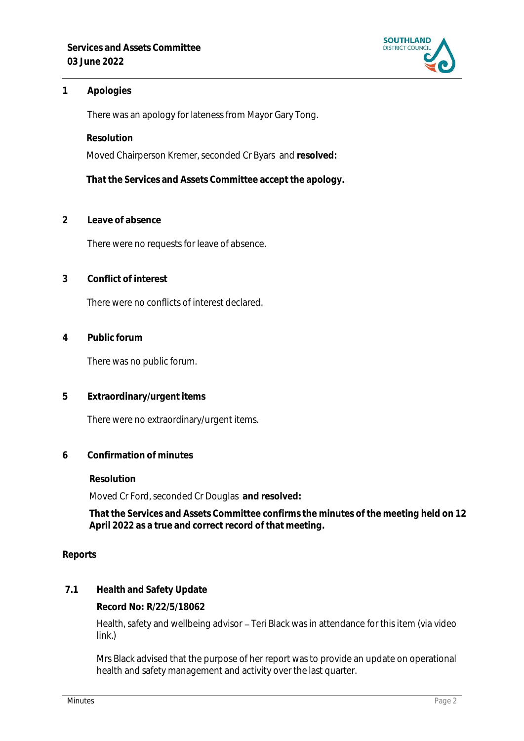

## **1 Apologies**

There was an apology for lateness from Mayor Gary Tong.

**Resolution**

Moved Chairperson Kremer, seconded Cr Byars and **resolved:**

**That the Services and Assets Committee accept the apology.**

**2 Leave of absence** 

There were no requests for leave of absence.

**3 Conflict of interest**

There were no conflicts of interest declared.

**4 Public forum**

There was no public forum.

**5 Extraordinary/urgent items**

There were no extraordinary/urgent items.

**6 Confirmation of minutes**

**Resolution**

Moved Cr Ford, seconded Cr Douglas **and resolved:**

**That the Services and Assets Committee confirms the minutes of the meeting held on 12 April 2022 as a true and correct record of that meeting.**

**Reports**

**7.1 Health and Safety Update**

**Record No: R/22/5/18062**

Health, safety and wellbeing advisor - Teri Black was in attendance for this item (via video link.)

Mrs Black advised that the purpose of her report was to provide an update on operational health and safety management and activity over the last quarter.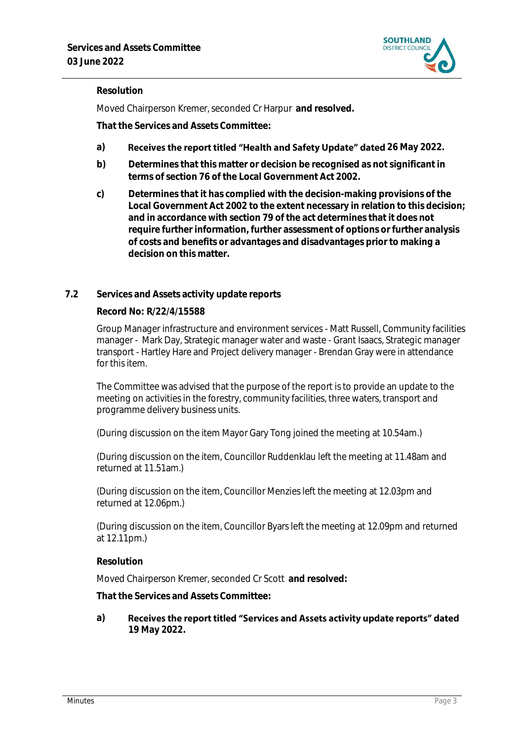

# **Resolution**

Moved Chairperson Kremer, seconded Cr Harpur **and resolved.**

**That the Services and Assets Committee:**

- a) **Receives the report titled "Health and Safety Update" dated 26 May 2022.**
- **b) Determines that this matter or decision be recognised as not significant in terms of section 76 of the Local Government Act 2002.**
- **c) Determines that it has complied with the decision-making provisions of the Local Government Act 2002 to the extent necessary in relation to this decision; and in accordance with section 79 of the act determines that it does not require further information, further assessment of options or further analysis of costs and benefits or advantages and disadvantages prior to making a decision on this matter.**

### **7.2 Services and Assets activity update reports**

#### **Record No: R/22/4/15588**

Group Manager infrastructure and environment services - Matt Russell, Community facilities manager - Mark Day, Strategic manager water and waste - Grant Isaacs, Strategic manager transport - Hartley Hare and Project delivery manager - Brendan Gray were in attendance for this item.

The Committee was advised that the purpose of the report is to provide an update to the meeting on activities in the forestry, community facilities, three waters, transport and programme delivery business units.

(During discussion on the item Mayor Gary Tong joined the meeting at 10.54am.)

(During discussion on the item, Councillor Ruddenklau left the meeting at 11.48am and returned at 11.51am.)

(During discussion on the item, Councillor Menzies left the meeting at 12.03pm and returned at 12.06pm.)

(During discussion on the item, Councillor Byars left the meeting at 12.09pm and returned at 12.11pm.)

**Resolution**

Moved Chairperson Kremer, seconded Cr Scott **and resolved:**

**That the Services and Assets Committee:**

Receives the report titled "Services and Assets activity update reports" dated **a) 19 May 2022.**